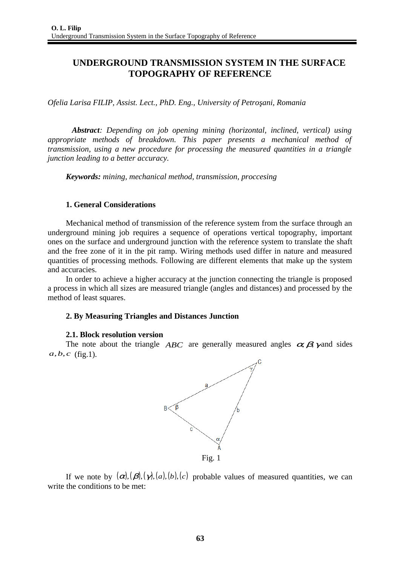# **UNDERGROUND TRANSMISSION SYSTEM IN THE SURFACE TOPOGRAPHY OF REFERENCE**

*Ofelia Larisa FILIP, Assist. Lect., PhD. Eng., University of Petroşani, Romania*

*Abstract: Depending on job opening mining (horizontal, inclined, vertical) using appropriate methods of breakdown. This paper presents a mechanical method of transmission, using a new procedure for processing the measured quantities in a triangle junction leading to a better accuracy.*

*Keywords: mining, mechanical method, transmission, proccesing*

# **1. General Considerations**

Mechanical method of transmission of the reference system from the surface through an underground mining job requires a sequence of operations vertical topography, important ones on the surface and underground junction with the reference system to translate the shaft and the free zone of it in the pit ramp. Wiring methods used differ in nature and measured quantities of processing methods. Following are different elements that make up the system and accuracies.

In order to achieve a higher accuracy at the junction connecting the triangle is proposed a process in which all sizes are measured triangle (angles and distances) and processed by the method of least squares.

# **2. By Measuring Triangles and Distances Junction**

# **2.1. Block resolution version**

The note about the triangle  $ABC$  are generally measured angles  $\alpha, \beta, \gamma$  and sides *a*,*b*,*c* (fig.1).



If we note by  $(\alpha)$ ,  $(\beta)$ ,  $(\gamma)$ ,  $(a)$ ,  $(b)$ ,  $(c)$  probable values of measured quantities, we can write the conditions to be met: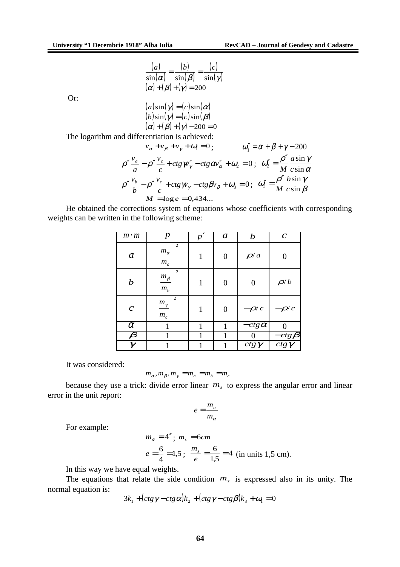$$
\frac{(a)}{\sin(\alpha)} = \frac{(b)}{\sin(\beta)} = \frac{(c)}{\sin(\gamma)}
$$

$$
(\alpha) + (\beta) + (\gamma) = 200
$$

Or:

$$
(a) sin(\gamma) = (c) sin(\alpha)
$$
  
\n
$$
(b) sin(\gamma) = (c) sin(\beta)
$$
  
\n
$$
(\alpha) + (\beta) + (\gamma) - 200 = 0
$$

The logarithm and differentiation is achieved:

$$
v_{\alpha} + v_{\beta} + v_{\gamma} + \omega_1 = 0; \qquad \omega_1'' = \alpha + \beta + \gamma - 200
$$
  

$$
\rho'' \frac{v_{\alpha}}{a} - \rho'' \frac{v_{c}}{c} + ctg\gamma'' - ctg\omega''_{\alpha} + \omega_2 = 0; \ \omega_2'' = \frac{\rho''}{M} \frac{a \sin \gamma}{c \sin \alpha}
$$
  

$$
\rho'' \frac{v_{b}}{b} - \rho'' \frac{v_{c}}{c} + ctg\gamma_{\gamma} - ctg\beta v_{\beta} + \omega_3 = 0; \ \omega_3'' = \frac{\rho''}{M} \frac{b \sin \gamma}{c \sin \beta}
$$
  

$$
M = \log e = 0,434...
$$

He obtained the corrections system of equations whose coefficients with corresponding weights can be written in the following scheme:

| $m \cdot m$          | $\boldsymbol{p}$                   | $\overline{p'}$ | $\boldsymbol{a}$ | $\bm{b}$     | $\boldsymbol{C}$                                        |
|----------------------|------------------------------------|-----------------|------------------|--------------|---------------------------------------------------------|
| a                    | $\sqrt{2}$<br>$m_\alpha$<br>$m_a$  | $\mathbf{1}$    | 0                | $\rho/a$     | 0                                                       |
| $\boldsymbol{b}$     | $\sqrt{2}$<br>$m_{\beta}$<br>$m_b$ | $\mathbf{1}$    | 0                | 0            | $\rho/b$                                                |
| $\pmb{C}$            | $m_{\gamma}$<br>$m_c$              | $\mathbf{1}$    | 0                | $-\rho/c$    | $-\rho/c$                                               |
| $\alpha$             | 1                                  | 1               | $\overline{1}$   | $-ctg\alpha$ | 0                                                       |
| $\boldsymbol{\beta}$ | 1                                  | 1               | $\overline{1}$   | 0            |                                                         |
| $\gamma$             |                                    | 1               | $\overline{1}$   | $ctg\gamma$  | $\frac{-ctg\boldsymbol{\beta}}{ctg\boldsymbol{\gamma}}$ |

It was considered:

$$
m_{\alpha}, m_{\beta}, m_{\gamma} = m_a = m_b = m_c
$$

because they use a trick: divide error linear  $m<sub>s</sub>$  to express the angular error and linear error in the unit report:

$$
e = \frac{m_a}{m_\alpha}
$$

For example:

$$
m_{\alpha} = 4''
$$
;  $m_s = 6cm$   
 $e = \frac{6}{4} = 1.5$ ;  $\frac{m_s}{e} = \frac{6}{1.5} = 4$  (in units 1.5 cm).

In this way we have equal weights.

The equations that relate the side condition  $m<sub>s</sub>$  is expressed also in its unity. The normal equation is:

$$
3k_1 + (ctg\gamma - ctg\alpha)k_2 + (ctg\gamma - ctg\beta)k_3 + \omega_1 = 0
$$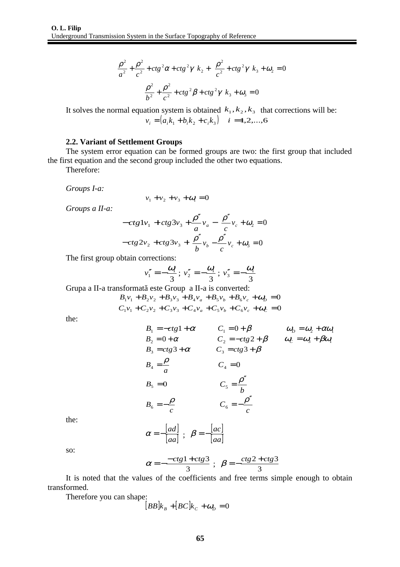$$
\left(\frac{\rho^2}{a^2} + \frac{\rho^2}{c^2} + ctg^2\alpha + ctg^2\gamma\right) k_2 + \left(\frac{\rho^2}{c^2} + ctg^2\gamma\right) k_3 + \omega_2 = 0
$$
  

$$
\left(\frac{\rho^2}{b^2} + \frac{\rho^2}{c^2} + ctg^2\beta + ctg^2\gamma\right) k_3 + \omega_3 = 0
$$

It solves the normal equation system is obtained  $\hat{k}_1, k_2, k_3$  that corrections will be:  $v_i = (a_i k_1 + b_i k_2 + c_i k_3)$   $i = 1, 2, ..., 6$ 

#### **2.2. Variant of Settlement Groups**

The system error equation can be formed groups are two: the first group that included the first equation and the second group included the other two equations.

Therefore:

*Groups I-a:*

$$
v_1 + v_2 + v_3 + \omega_1 = 0
$$

*Groups a II-a:*

$$
-ctg1v1 + ctg3v3 + \frac{\rho''}{a}va - \frac{\rho''}{c}vc + \omega2 = 0
$$

$$
-ctg2v2 + ctg3v3 + \frac{\rho''}{b}vb - \frac{\rho''}{c}vc + \omega3 = 0
$$

The first group obtain corrections:

$$
v_1'' = -\frac{\omega_1}{3}
$$
;  $v_2'' = -\frac{\omega_1}{3}$ ;  $v_3'' = -\frac{\omega_1}{3}$ 

Grupa a II-a transformată este Group a II-a is converted:

$$
B_1v_1 + B_2v_2 + B_3v_3 + B_4v_a + B_5v_b + B_6v_c + \omega_b = 0
$$
  

$$
C_1v_1 + C_2v_2 + C_3v_3 + C_4v_a + C_5v_b + C_6v_c + \omega_c = 0
$$

the:

$$
B_1 = -ctg1 + \alpha \qquad C_1 = 0 + \beta \qquad \omega_D = \omega_2 + \alpha \omega_1
$$
  
\n
$$
B_2 = 0 + \alpha \qquad C_2 = -ctg2 + \beta \qquad \omega_C = \omega_3 + \beta \omega_1
$$
  
\n
$$
B_3 = ctg3 + \alpha \qquad C_3 = ctg3 + \beta
$$
  
\n
$$
B_4 = \frac{\rho}{a} \qquad C_4 = 0
$$
  
\n
$$
B_5 = 0 \qquad C_5 = \frac{\rho''}{b}
$$
  
\n
$$
B_6 = -\frac{\rho}{c} \qquad C_6 = -\frac{\rho''}{c}
$$

the:

$$
\alpha = -\frac{[ad]}{[aa]} \; ; \; \beta = -\frac{[ac]}{[aa]}
$$

so:

$$
\alpha = -\frac{-ctg1+ctg3}{3} \; ; \; \beta = -\frac{ctg2+ctg3}{3}
$$

It is noted that the values of the coefficients and free terms simple enough to obtain transformed.

Therefore you can shape:

$$
[BB]k_B + [BC]k_C + \omega_D = 0
$$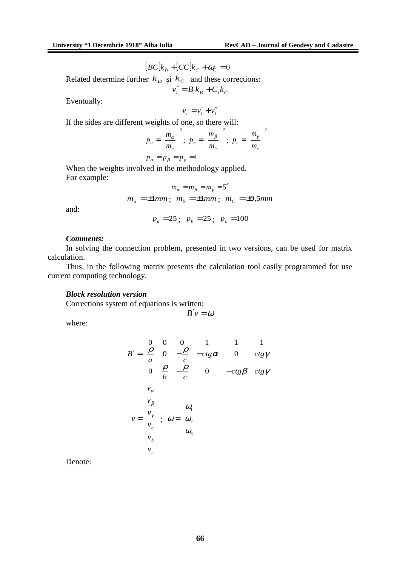$$
[BC]k_B + [CC]k_C + \omega_C = 0
$$

Related determine further  $k_D$  și  $k_C$  and these corrections:  $v''_i = B_i k_B + C_i k_C$ 

Eventually:

$$
v_i = v_i' + v_i''
$$

If the sides are different weights of one, so there will:

$$
p_a = \left(\frac{m_\alpha}{m_a}\right)^2; \ p_b = \left(\frac{m_\beta}{m_b}\right)^2; \ p_c = \left(\frac{m_\gamma}{m_c}\right)^2
$$
  

$$
p_\alpha = p_\beta = p_\gamma = 1
$$

When the weights involved in the methodology applied. For example:

$$
m_{\alpha} = m_{\beta} = m_{\gamma} = 5''
$$
  

$$
m_{\alpha} = \pm 1mm; \quad m_{b} = \pm 1mm; \quad m_{C} = \pm 0,5mm
$$

and:

$$
p_a = 25
$$
;  $p_b = 25$ ;  $p_c = 100$ 

# *Comments:*

In solving the connection problem, presented in two versions, can be used for matrix calculation.

Thus, in the following matrix presents the calculation tool easily programmed for use current computing technology.

#### *Block resolution version*

Corrections system of equations is written:

$$
B'v=\omega
$$

where:

$$
B' = \begin{pmatrix}\n0 & 0 & 0 & 1 & 1 & 1 \\
\frac{\rho}{a} & 0 & -\frac{\rho}{c} & -ctg\alpha & 0 & ctg\gamma \\
0 & \frac{\rho}{b} & -\frac{\rho}{c} & 0 & -ctg\beta & ctg\gamma\n\end{pmatrix}
$$
\n
$$
v = \begin{pmatrix}\nv_{\alpha} \\
v_{\beta} \\
v_{\gamma} \\
v_{\alpha} \\
v_{\alpha} \\
v_{\beta} \\
v_{\alpha}\n\end{pmatrix}; \quad \omega = \begin{pmatrix}\n\omega_{1} \\
\omega_{2} \\
\omega_{3}\n\end{pmatrix}
$$

Denote: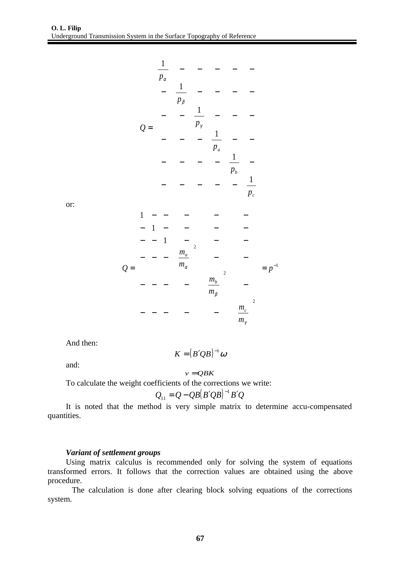$$
Q = \begin{pmatrix}\n\frac{1}{p_{\alpha}} & - & - & - & - & - \\
-\frac{1}{p_{\beta}} & - & - & - & - \\
-\frac{1}{p_{\gamma}} & \frac{1}{p_{\alpha}} & - & - & - \\
-\frac{1}{p_{\alpha}} & \frac{1}{p_{\alpha}} & - & - \\
-\frac{1}{p_{\alpha}} & - & - & - & - & - \\
-\frac{1}{p_{\alpha}} & - & - & - & - & - \\
-\frac{1}{p_{\alpha}} & - & - & - & - & - \\
-\frac{1}{p_{\alpha}} & - & - & - & - & - \\
-\frac{1}{p_{\alpha}} & \frac{1}{p_{\alpha}} & - & - \\
-\frac{1}{p_{\alpha}} & - & - & - & - & - \\
-\frac{1}{p_{\alpha}} & \frac{1}{p_{\alpha}} & - & - \\
-\frac{1}{p_{\alpha}} & \frac{1}{p_{\alpha}} & - & - & - \\
-\frac{1}{p_{\alpha}} & \frac{1}{p_{\alpha}} & - & - & - \\
-\frac{1}{p_{\alpha}} & \frac{1}{p_{\alpha}} & - & - & - \\
-\frac{1}{p_{\alpha}} & \frac{1}{p_{\alpha}} & - & - & - \\
-\frac{1}{p_{\alpha}} & \frac{1}{p_{\alpha}} & - & - & - \\
-\frac{1}{p_{\alpha}} & \frac{1}{p_{\alpha}} & - & - & - \\
-\frac{1}{p_{\alpha}} & \frac{1}{p_{\alpha}} & - & - & - \\
-\frac{1}{p_{\alpha}} & \frac{1}{p_{\alpha}} & - & - & - \\
-\frac{1}{p_{\alpha}} & \frac{1}{p_{\alpha}} & - & - & - \\
-\frac{1}{p_{\alpha}} & \frac{1}{p_{\alpha}} & - & - & - \\
-\frac{1}{p_{\alpha}} & \frac{1}{p_{\alpha}} & - & - & - \\
-\frac{1}{p_{\alpha}} & \frac{1}{p_{\alpha}} & - & - & - \\
-\frac{1}{p_{\alpha}} & \frac{1}{p_{\alpha}} & - & - & - \\
-\frac{1}{p_{\alpha}} & \frac{1}{p_{\alpha}} & - & - & - \\
-\frac{1}{p_{\alpha}} & \frac{1}{p_{\alpha}} & - & - & - \\
-\frac{1}{p_{\alpha}} & \frac{1}{p_{\alpha}} & - & - & - \\
-\frac{1}{p_{\alpha}} & \frac{1}{p_{\alpha}} & - & - & - \\
-\frac{1}{p_{\alpha}} & \frac{1}{p_{\alpha}} & -
$$

or:

$$
Q = \begin{pmatrix} 1 & - & - & - & - & - \\ - & 1 & - & - & - & - \\ - & - & 1 & - & - & - \\ - & - & - & \left(\frac{m_a}{m_\alpha}\right)^2 & - & - \\ - & - & - & - & \left(\frac{m_b}{m_\beta}\right)^2 & - \\ - & - & - & - & - & \left(\frac{m_c}{m_\gamma}\right)^2 \end{pmatrix}
$$

And then:

and:

 $K = (B'QB)^{-1}\omega$ 

 $v = QBK$ 

To calculate the weight coefficients of the corrections we write:

$$
Q_{11} = Q - QB[B'QB]^{-1}B'Q
$$

It is noted that the method is very simple matrix to determine accu-compensated quantities.

## *Variant of settlement groups*

Using matrix calculus is recommended only for solving the system of equations transformed errors. It follows that the correction values are obtained using the above procedure.

The calculation is done after clearing block solving equations of the corrections system.